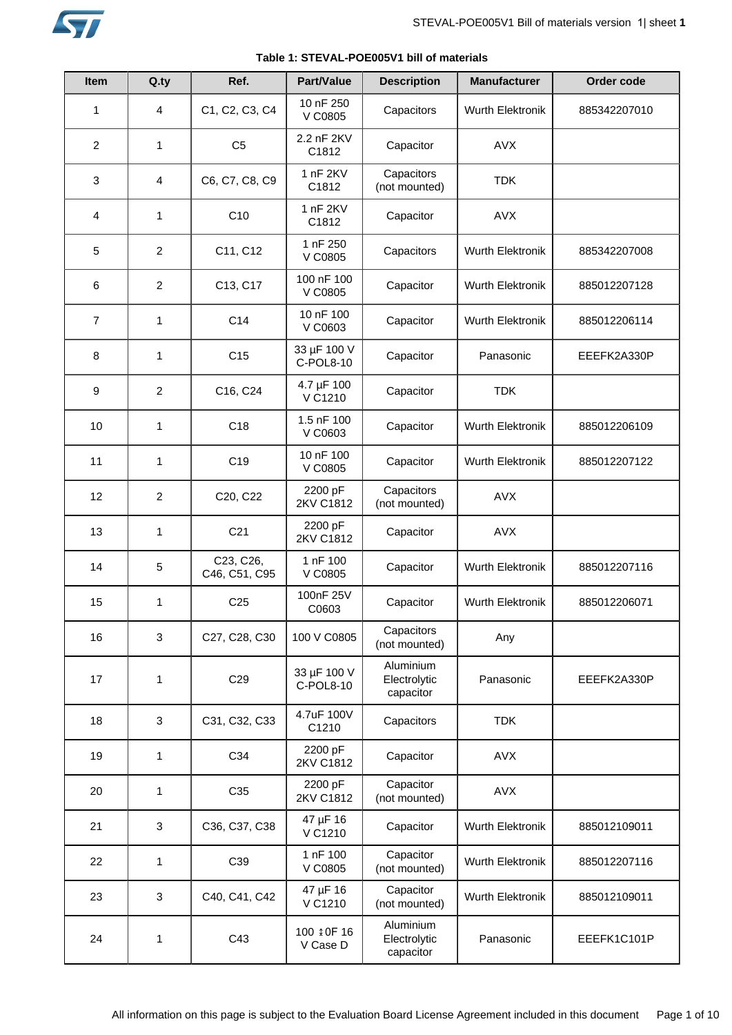

| <b>Item</b>    | Q.ty           | Ref.                       | <b>Part/Value</b>        | <b>Description</b>                     | <b>Manufacturer</b>     | Order code   |
|----------------|----------------|----------------------------|--------------------------|----------------------------------------|-------------------------|--------------|
|                |                |                            | 10 nF 250                |                                        |                         |              |
| $\mathbf{1}$   | 4              | C1, C2, C3, C4             | V C0805                  | Capacitors                             | <b>Wurth Elektronik</b> | 885342207010 |
| $\overline{c}$ | 1              | C <sub>5</sub>             | 2.2 nF 2KV<br>C1812      | Capacitor                              | <b>AVX</b>              |              |
| 3              | 4              | C6, C7, C8, C9             | 1 nF 2KV<br>C1812        | Capacitors<br>(not mounted)            | <b>TDK</b>              |              |
| 4              | 1              | C10                        | 1 nF 2KV<br>C1812        | Capacitor                              | <b>AVX</b>              |              |
| 5              | $\overline{2}$ | C11, C12                   | 1 nF 250<br>V C0805      | Capacitors                             | Wurth Elektronik        | 885342207008 |
| 6              | $\overline{c}$ | C13, C17                   | 100 nF 100<br>V C0805    | Capacitor                              | <b>Wurth Elektronik</b> | 885012207128 |
| $\overline{7}$ | 1              | C <sub>14</sub>            | 10 nF 100<br>V C0603     | Capacitor                              | Wurth Elektronik        | 885012206114 |
| 8              | 1              | C <sub>15</sub>            | 33 µF 100 V<br>C-POL8-10 | Capacitor                              | Panasonic               | EEEFK2A330P  |
| 9              | $\overline{c}$ | C16, C24                   | 4.7 µF 100<br>V C1210    | Capacitor                              | <b>TDK</b>              |              |
| 10             | 1              | C <sub>18</sub>            | 1.5 nF 100<br>V C0603    | Capacitor                              | Wurth Elektronik        | 885012206109 |
| 11             | $\mathbf{1}$   | C <sub>19</sub>            | 10 nF 100<br>V C0805     | Capacitor                              | <b>Wurth Elektronik</b> | 885012207122 |
| 12             | $\overline{2}$ | C20, C22                   | 2200 pF<br>2KV C1812     | Capacitors<br>(not mounted)            | <b>AVX</b>              |              |
| 13             | 1              | C <sub>21</sub>            | 2200 pF<br>2KV C1812     | Capacitor                              | <b>AVX</b>              |              |
| 14             | 5              | C23, C26,<br>C46, C51, C95 | 1 nF 100<br>V C0805      | Capacitor                              | Wurth Elektronik        | 885012207116 |
| 15             | 1              | C <sub>25</sub>            | 100nF 25V<br>C0603       | Capacitor                              | Wurth Elektronik        | 885012206071 |
| 16             | 3              | C27, C28, C30              | 100 V C0805              | Capacitors<br>(not mounted)            | Any                     |              |
| 17             | 1              | C <sub>29</sub>            | 33 µF 100 V<br>C-POL8-10 | Aluminium<br>Electrolytic<br>capacitor | Panasonic               | EEEFK2A330P  |
| 18             | 3              | C31, C32, C33              | 4.7uF 100V<br>C1210      | Capacitors                             | <b>TDK</b>              |              |
| 19             | $\mathbf{1}$   | C34                        | 2200 pF<br>2KV C1812     | Capacitor                              | <b>AVX</b>              |              |
| 20             | 1              | C35                        | 2200 pF<br>2KV C1812     | Capacitor<br>(not mounted)             | <b>AVX</b>              |              |
| 21             | 3              | C36, C37, C38              | 47 µF 16<br>V C1210      | Capacitor                              | Wurth Elektronik        | 885012109011 |
| 22             | $\mathbf{1}$   | C39                        | 1 nF 100<br>V C0805      | Capacitor<br>(not mounted)             | Wurth Elektronik        | 885012207116 |
| 23             | 3              | C40, C41, C42              | 47 µF 16<br>V C1210      | Capacitor<br>(not mounted)             | <b>Wurth Elektronik</b> | 885012109011 |
| 24             | 1              | C43                        | 100 \$0F 16<br>V Case D  | Aluminium<br>Electrolytic<br>capacitor | Panasonic               | EEEFK1C101P  |

# **Table 1: STEVAL-POE005V1 bill of materials**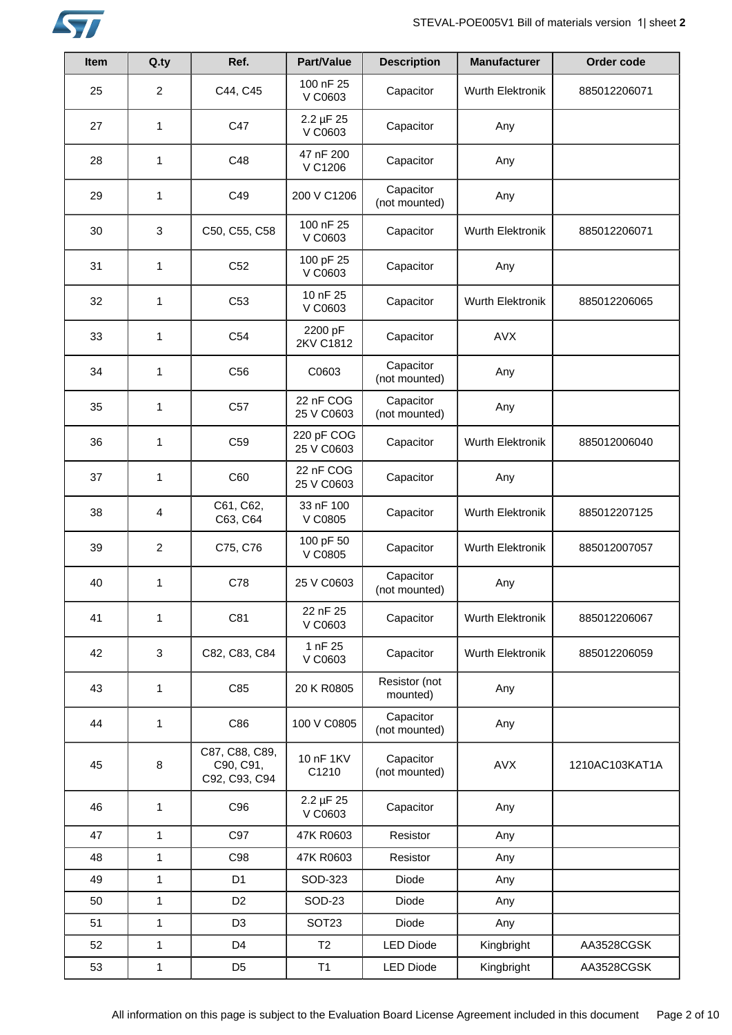

| Item | Q.ty           | Ref.                                         | Part/Value                | <b>Description</b>         | <b>Manufacturer</b> | Order code     |
|------|----------------|----------------------------------------------|---------------------------|----------------------------|---------------------|----------------|
| 25   | $\overline{2}$ | C44, C45                                     | 100 nF 25<br>V C0603      | Capacitor                  | Wurth Elektronik    | 885012206071   |
| 27   | 1              | C47                                          | $2.2 \mu F 25$<br>V C0603 | Capacitor                  | Any                 |                |
| 28   | 1              | C48                                          | 47 nF 200<br>V C1206      | Capacitor                  | Any                 |                |
| 29   | 1              | C49                                          | 200 V C1206               | Capacitor<br>(not mounted) | Any                 |                |
| 30   | 3              | C50, C55, C58                                | 100 nF 25<br>V C0603      | Capacitor                  | Wurth Elektronik    | 885012206071   |
| 31   | 1              | C <sub>52</sub>                              | 100 pF 25<br>V C0603      | Capacitor                  | Any                 |                |
| 32   | 1              | C <sub>53</sub>                              | 10 nF 25<br>V C0603       | Capacitor                  | Wurth Elektronik    | 885012206065   |
| 33   | 1              | C <sub>54</sub>                              | 2200 pF<br>2KV C1812      | Capacitor                  | <b>AVX</b>          |                |
| 34   | 1              | C <sub>56</sub>                              | C0603                     | Capacitor<br>(not mounted) | Any                 |                |
| 35   | 1              | C57                                          | 22 nF COG<br>25 V C0603   | Capacitor<br>(not mounted) | Any                 |                |
| 36   | 1              | C <sub>59</sub>                              | 220 pF COG<br>25 V C0603  | Capacitor                  | Wurth Elektronik    | 885012006040   |
| 37   | 1              | C60                                          | 22 nF COG<br>25 V C0603   | Capacitor                  | Any                 |                |
| 38   | 4              | C61, C62,<br>C63, C64                        | 33 nF 100<br>V C0805      | Capacitor                  | Wurth Elektronik    | 885012207125   |
| 39   | $\overline{c}$ | C75, C76                                     | 100 pF 50<br>V C0805      | Capacitor                  | Wurth Elektronik    | 885012007057   |
| 40   | 1              | C78                                          | 25 V C0603                | Capacitor<br>(not mounted) | Any                 |                |
| 41   | 1              | C81                                          | 22 nF 25<br>V C0603       | Capacitor                  | Wurth Elektronik    | 885012206067   |
| 42   | 3              | C82, C83, C84                                | 1 nF 25<br>V C0603        | Capacitor                  | Wurth Elektronik    | 885012206059   |
| 43   | 1              | C85                                          | 20 K R0805                | Resistor (not<br>mounted)  | Any                 |                |
| 44   | 1              | C86                                          | 100 V C0805               | Capacitor<br>(not mounted) | Any                 |                |
| 45   | 8              | C87, C88, C89,<br>C90, C91,<br>C92, C93, C94 | 10 nF 1KV<br>C1210        | Capacitor<br>(not mounted) | AVX                 | 1210AC103KAT1A |
| 46   | 1              | C96                                          | 2.2 µF 25<br>V C0603      | Capacitor                  | Any                 |                |
| 47   | $\mathbf{1}$   | C97                                          | 47K R0603                 | Resistor                   | Any                 |                |
| 48   | $\mathbf{1}$   | C98                                          | 47K R0603                 | Resistor                   | Any                 |                |
| 49   | $\mathbf{1}$   | D <sub>1</sub>                               | SOD-323                   | Diode                      | Any                 |                |
| 50   | $\mathbf{1}$   | D <sub>2</sub>                               | SOD-23                    | Diode                      | Any                 |                |
| 51   | $\mathbf{1}$   | D <sub>3</sub>                               | SOT <sub>23</sub>         | Diode                      | Any                 |                |
| 52   | 1              | D <sub>4</sub>                               | T2                        | <b>LED Diode</b>           | Kingbright          | AA3528CGSK     |
| 53   | 1              | D <sub>5</sub>                               | T1                        | <b>LED Diode</b>           | Kingbright          | AA3528CGSK     |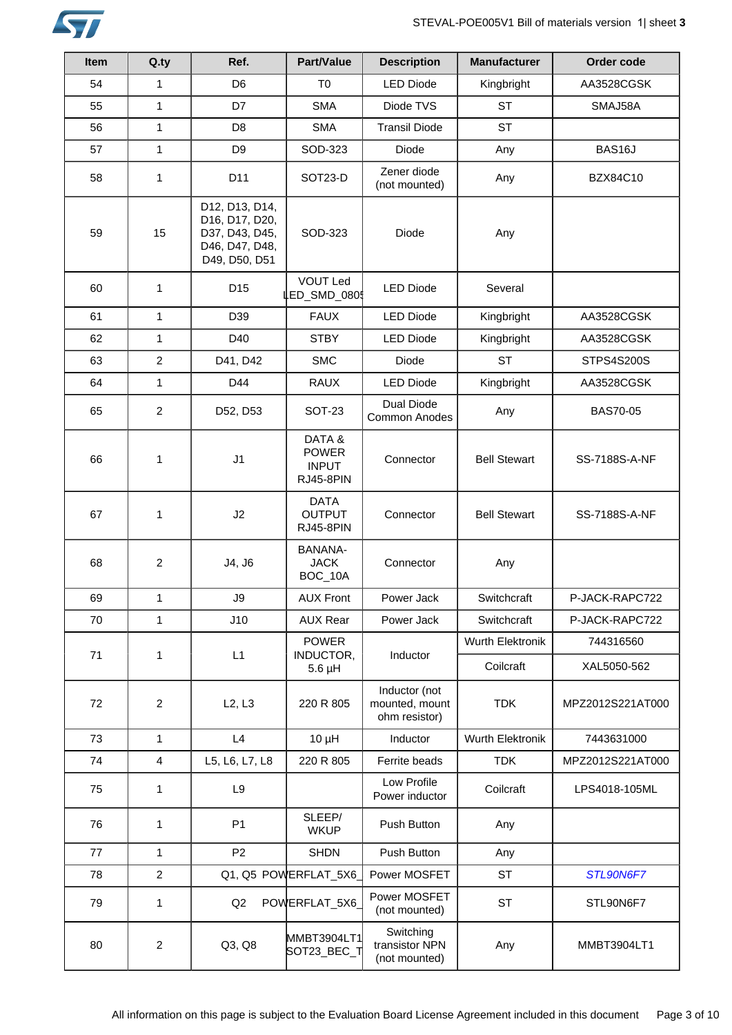

| <b>Item</b> | Q.ty           | Ref.                                                                                  | Part/Value                                         | <b>Description</b>                               | <b>Manufacturer</b> | Order code        |
|-------------|----------------|---------------------------------------------------------------------------------------|----------------------------------------------------|--------------------------------------------------|---------------------|-------------------|
| 54          | $\mathbf{1}$   | D <sub>6</sub>                                                                        | T <sub>0</sub>                                     | <b>LED Diode</b>                                 | Kingbright          | AA3528CGSK        |
| 55          | $\mathbf{1}$   | D7                                                                                    | <b>SMA</b>                                         | Diode TVS                                        | <b>ST</b>           | SMAJ58A           |
| 56          | $\mathbf{1}$   | D <sub>8</sub>                                                                        | <b>SMA</b>                                         | <b>Transil Diode</b>                             | <b>ST</b>           |                   |
| 57          | $\mathbf{1}$   | D <sub>9</sub>                                                                        | SOD-323                                            | <b>Diode</b>                                     | Any                 | BAS16J            |
| 58          | 1              | D <sub>11</sub>                                                                       | SOT23-D                                            | Zener diode<br>(not mounted)                     | Any                 | <b>BZX84C10</b>   |
| 59          | 15             | D12, D13, D14,<br>D16, D17, D20,<br>D37, D43, D45,<br>D46, D47, D48,<br>D49, D50, D51 | SOD-323                                            | Diode                                            | Any                 |                   |
| 60          | 1              | D <sub>15</sub>                                                                       | <b>VOUT Led</b><br>LED_SMD_080                     | <b>LED Diode</b>                                 | Several             |                   |
| 61          | $\mathbf{1}$   | D <sub>39</sub>                                                                       | <b>FAUX</b>                                        | <b>LED Diode</b>                                 | Kingbright          | AA3528CGSK        |
| 62          | $\mathbf{1}$   | D40                                                                                   | <b>STBY</b>                                        | <b>LED Diode</b>                                 | Kingbright          | AA3528CGSK        |
| 63          | $\overline{c}$ | D41, D42                                                                              | <b>SMC</b>                                         | Diode                                            | <b>ST</b>           | <b>STPS4S200S</b> |
| 64          | $\mathbf{1}$   | D44                                                                                   | <b>RAUX</b>                                        | <b>LED Diode</b>                                 | Kingbright          | AA3528CGSK        |
| 65          | $\overline{c}$ | D52, D53                                                                              | <b>SOT-23</b>                                      | <b>Dual Diode</b><br>Common Anodes               | Any                 | <b>BAS70-05</b>   |
| 66          | 1              | J1                                                                                    | DATA&<br><b>POWER</b><br><b>INPUT</b><br>RJ45-8PIN | Connector                                        | <b>Bell Stewart</b> | SS-7188S-A-NF     |
| 67          | 1              | J2                                                                                    | <b>DATA</b><br><b>OUTPUT</b><br>RJ45-8PIN          | Connector                                        | <b>Bell Stewart</b> | SS-7188S-A-NF     |
| 68          | $\overline{2}$ | J4, J6                                                                                | BANANA-<br><b>JACK</b><br>BOC_10A                  | Connector                                        | Any                 |                   |
| 69          | $\mathbf{1}$   | J9                                                                                    | <b>AUX Front</b>                                   | Power Jack                                       | Switchcraft         | P-JACK-RAPC722    |
| 70          | $\mathbf{1}$   | J10                                                                                   | <b>AUX Rear</b>                                    | Power Jack                                       | Switchcraft         | P-JACK-RAPC722    |
|             |                |                                                                                       | <b>POWER</b>                                       |                                                  | Wurth Elektronik    | 744316560         |
| 71          | 1              | L1                                                                                    | INDUCTOR,<br>$5.6$ µH                              | Inductor                                         | Coilcraft           | XAL5050-562       |
| 72          | $\overline{c}$ | L2, L3                                                                                | 220 R 805                                          | Inductor (not<br>mounted, mount<br>ohm resistor) | <b>TDK</b>          | MPZ2012S221AT000  |
| 73          | $\mathbf{1}$   | L4                                                                                    | $10 \mu H$                                         | Inductor                                         | Wurth Elektronik    | 7443631000        |
| 74          | 4              | L5, L6, L7, L8                                                                        | 220 R 805                                          | Ferrite beads                                    | <b>TDK</b>          | MPZ2012S221AT000  |
| 75          | 1              | L9                                                                                    |                                                    | Low Profile<br>Power inductor                    | Coilcraft           | LPS4018-105ML     |
| 76          | 1              | P <sub>1</sub>                                                                        | SLEEP/<br><b>WKUP</b>                              | Push Button                                      | Any                 |                   |
| 77          | $\mathbf{1}$   | P <sub>2</sub>                                                                        | <b>SHDN</b>                                        | Push Button                                      | Any                 |                   |
| 78          | $\overline{c}$ |                                                                                       | Q1, Q5 POWERFLAT_5X6                               | Power MOSFET                                     | <b>ST</b>           | STL90N6F7         |
| 79          | 1              | Q2                                                                                    | POWERFLAT_5X6                                      | Power MOSFET<br>(not mounted)                    | <b>ST</b>           | STL90N6F7         |
| 80          | $\overline{c}$ | Q3, Q8                                                                                | MMBT3904LT1<br>SOT23_BEC_T                         | Switching<br>transistor NPN<br>(not mounted)     | Any                 | MMBT3904LT1       |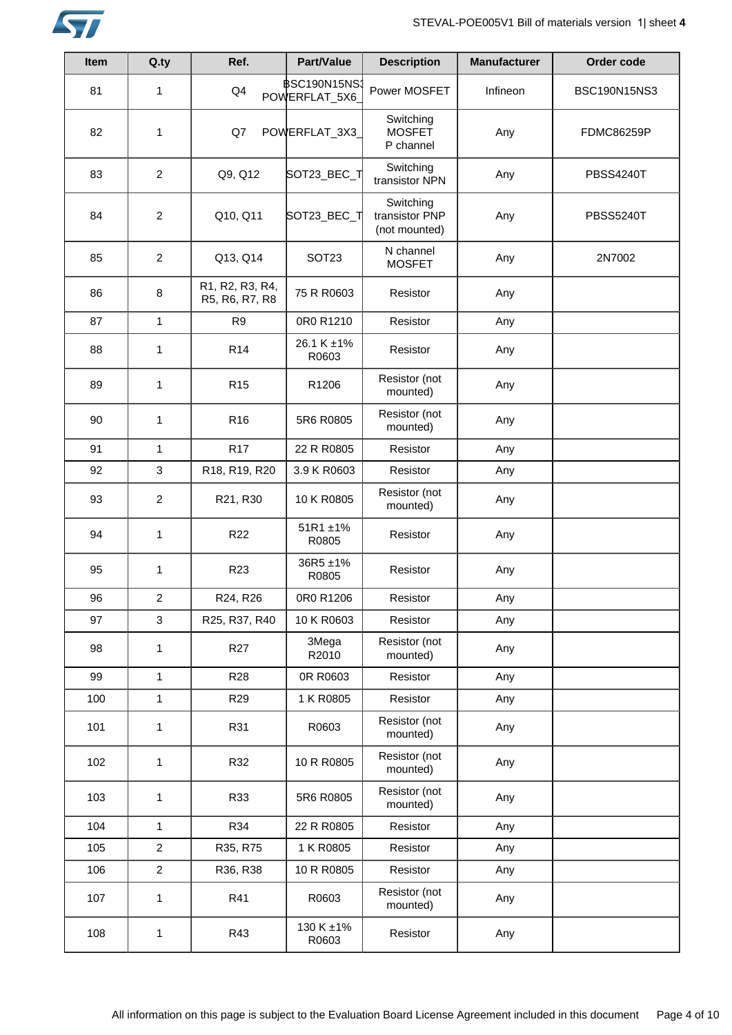

| Item | Q.ty           | Ref.                              | Part/Value                            | <b>Description</b>                           | <b>Manufacturer</b> | Order code        |
|------|----------------|-----------------------------------|---------------------------------------|----------------------------------------------|---------------------|-------------------|
| 81   | 1              | Q4                                | <b>\$SC190N15NS:</b><br>POWERFLAT_5X6 | Power MOSFET                                 | Infineon            | BSC190N15NS3      |
| 82   | 1              | Q7                                | POWERFLAT_3X3                         | Switching<br><b>MOSFET</b><br>P channel      | Any                 | <b>FDMC86259P</b> |
| 83   | $\overline{2}$ | Q9, Q12                           | SOT23_BEC_T                           | Switching<br>transistor NPN                  | Any                 | <b>PBSS4240T</b>  |
| 84   | $\overline{c}$ | Q10, Q11                          | SOT23_BEC_T                           | Switching<br>transistor PNP<br>(not mounted) | Any                 | <b>PBSS5240T</b>  |
| 85   | $\overline{c}$ | Q13, Q14                          | SOT <sub>23</sub>                     | N channel<br><b>MOSFET</b>                   | Any                 | 2N7002            |
| 86   | 8              | R1, R2, R3, R4,<br>R5, R6, R7, R8 | 75 R R0603                            | Resistor                                     | Any                 |                   |
| 87   | $\mathbf{1}$   | R <sub>9</sub>                    | 0R0 R1210                             | Resistor                                     | Any                 |                   |
| 88   | $\mathbf{1}$   | R <sub>14</sub>                   | 26.1 K ±1%<br>R0603                   | Resistor                                     | Any                 |                   |
| 89   | 1              | R <sub>15</sub>                   | R1206                                 | Resistor (not<br>mounted)                    | Any                 |                   |
| 90   | $\mathbf{1}$   | R <sub>16</sub>                   | 5R6 R0805                             | Resistor (not<br>mounted)                    | Any                 |                   |
| 91   | $\mathbf{1}$   | <b>R17</b>                        | 22 R R0805                            | Resistor                                     | Any                 |                   |
| 92   | 3              | R18, R19, R20                     | 3.9 K R0603                           | Resistor                                     | Any                 |                   |
| 93   | $\overline{2}$ | R21, R30                          | 10 K R0805                            | Resistor (not<br>mounted)                    | Any                 |                   |
| 94   | $\mathbf{1}$   | R <sub>22</sub>                   | 51R1 ±1%<br>R0805                     | Resistor                                     | Any                 |                   |
| 95   | 1              | R <sub>23</sub>                   | 36R5 ±1%<br>R0805                     | Resistor                                     | Any                 |                   |
| 96   | $\overline{2}$ | R24, R26                          | 0R0 R1206                             | Resistor                                     | Any                 |                   |
| 97   | 3              | R25, R37, R40                     | 10 K R0603                            | Resistor                                     | Any                 |                   |
| 98   | 1              | R <sub>27</sub>                   | 3Mega<br>R2010                        | Resistor (not<br>mounted)                    | Any                 |                   |
| 99   | $\mathbf{1}$   | R <sub>28</sub>                   | 0R R0603                              | Resistor                                     | Any                 |                   |
| 100  | 1              | R <sub>29</sub>                   | 1 K R0805                             | Resistor                                     | Any                 |                   |
| 101  | $\mathbf{1}$   | R31                               | R0603                                 | Resistor (not<br>mounted)                    | Any                 |                   |
| 102  | 1              | R32                               | 10 R R0805                            | Resistor (not<br>mounted)                    | Any                 |                   |
| 103  | 1              | R33                               | 5R6 R0805                             | Resistor (not<br>mounted)                    | Any                 |                   |
| 104  | $\mathbf{1}$   | R34                               | 22 R R0805                            | Resistor                                     | Any                 |                   |
| 105  | $\overline{c}$ | R35, R75                          | 1 K R0805                             | Resistor                                     | Any                 |                   |
| 106  | $\overline{c}$ | R36, R38                          | 10 R R0805                            | Resistor                                     | Any                 |                   |
| 107  | 1              | R41                               | R0603                                 | Resistor (not<br>mounted)                    | Any                 |                   |
| 108  | 1              | R43                               | 130 K ±1%<br>R0603                    | Resistor                                     | Any                 |                   |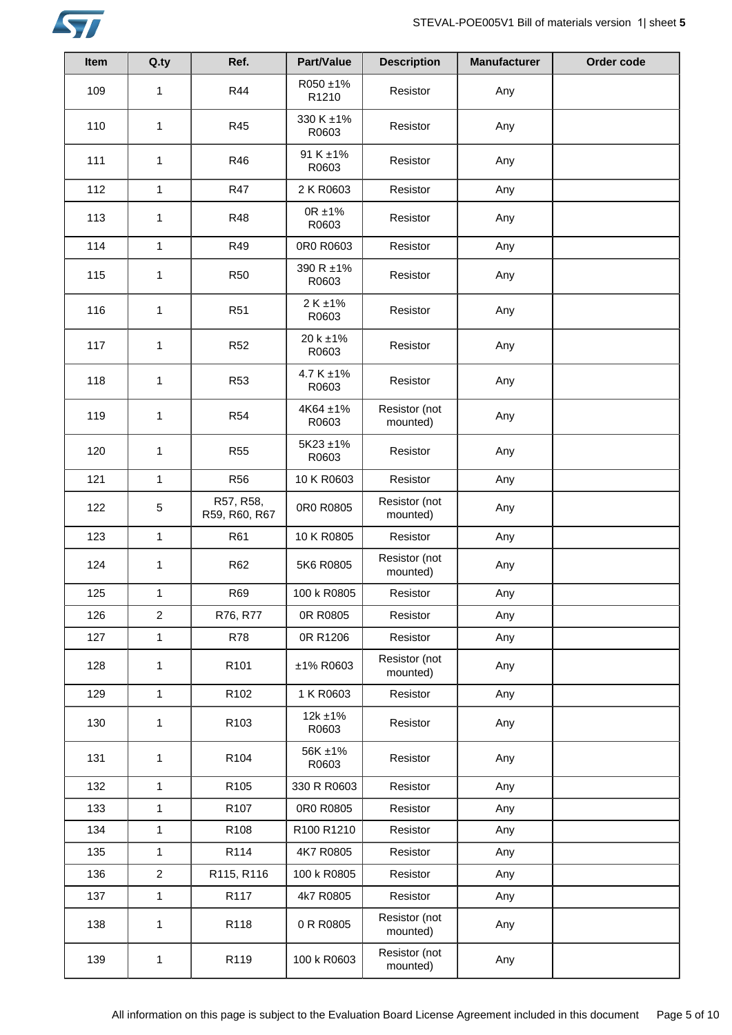

| Item | Q.ty           | Ref.                       | Part/Value               | <b>Description</b>        | <b>Manufacturer</b> | Order code |
|------|----------------|----------------------------|--------------------------|---------------------------|---------------------|------------|
| 109  | 1              | R44                        | R050 ±1%<br>R1210        | Resistor                  | Any                 |            |
| 110  | $\mathbf{1}$   | R45                        | 330 K ±1%<br>R0603       | Resistor                  | Any                 |            |
| 111  | $\mathbf{1}$   | R46                        | 91 K ±1%<br>R0603        | Resistor                  | Any                 |            |
| 112  | $\mathbf{1}$   | <b>R47</b>                 | 2 K R0603                | Resistor                  | Any                 |            |
| 113  | $\mathbf{1}$   | <b>R48</b>                 | $0R \pm 1\%$<br>R0603    | Resistor                  | Any                 |            |
| 114  | $\mathbf{1}$   | R49                        | 0R0 R0603                | Resistor                  | Any                 |            |
| 115  | 1              | <b>R50</b>                 | 390 R ±1%<br>R0603       | Resistor                  | Any                 |            |
| 116  | $\mathbf{1}$   | R <sub>51</sub>            | 2 K ±1%<br>R0603         | Resistor                  | Any                 |            |
| 117  | $\mathbf{1}$   | <b>R52</b>                 | 20 k ±1%<br>R0603        | Resistor                  | Any                 |            |
| 118  | $\mathbf{1}$   | <b>R53</b>                 | $4.7 K \pm 1\%$<br>R0603 | Resistor                  | Any                 |            |
| 119  | 1              | R <sub>54</sub>            | 4K64 ±1%<br>R0603        | Resistor (not<br>mounted) | Any                 |            |
| 120  | 1              | <b>R55</b>                 | 5K23 ±1%<br>R0603        | Resistor                  | Any                 |            |
| 121  | $\mathbf{1}$   | <b>R56</b>                 | 10 K R0603               | Resistor                  | Any                 |            |
| 122  | 5              | R57, R58,<br>R59, R60, R67 | 0R0 R0805                | Resistor (not<br>mounted) | Any                 |            |
| 123  | $\mathbf{1}$   | R61                        | 10 K R0805               | Resistor                  | Any                 |            |
| 124  | 1              | R62                        | 5K6 R0805                | Resistor (not<br>mounted) | Any                 |            |
| 125  | $\mathbf{1}$   | R69                        | 100 k R0805              | Resistor                  | Any                 |            |
| 126  | $\overline{c}$ | R76, R77                   | 0R R0805                 | Resistor                  | Any                 |            |
| 127  | $\mathbf{1}$   | <b>R78</b>                 | 0R R1206                 | Resistor                  | Any                 |            |
| 128  | 1              | R <sub>101</sub>           | ±1% R0603                | Resistor (not<br>mounted) | Any                 |            |
| 129  | $\mathbf{1}$   | R <sub>102</sub>           | 1 K R0603                | Resistor                  | Any                 |            |
| 130  | 1              | R <sub>103</sub>           | $12k + 1%$<br>R0603      | Resistor                  | Any                 |            |
| 131  | 1              | R104                       | 56K ±1%<br>R0603         | Resistor                  | Any                 |            |
| 132  | $\mathbf{1}$   | R105                       | 330 R R0603              | Resistor                  | Any                 |            |
| 133  | $\mathbf{1}$   | R <sub>107</sub>           | 0R0 R0805                | Resistor                  | Any                 |            |
| 134  | 1              | R108                       | R100 R1210               | Resistor                  | Any                 |            |
| 135  | $\mathbf{1}$   | R114                       | 4K7 R0805                | Resistor                  | Any                 |            |
| 136  | $\overline{a}$ | R115, R116                 | 100 k R0805              | Resistor                  | Any                 |            |
| 137  | $\mathbf{1}$   | R117                       | 4k7 R0805                | Resistor                  | Any                 |            |
| 138  | 1              | R118                       | 0 R R0805                | Resistor (not<br>mounted) | Any                 |            |
| 139  | 1              | R119                       | 100 k R0603              | Resistor (not<br>mounted) | Any                 |            |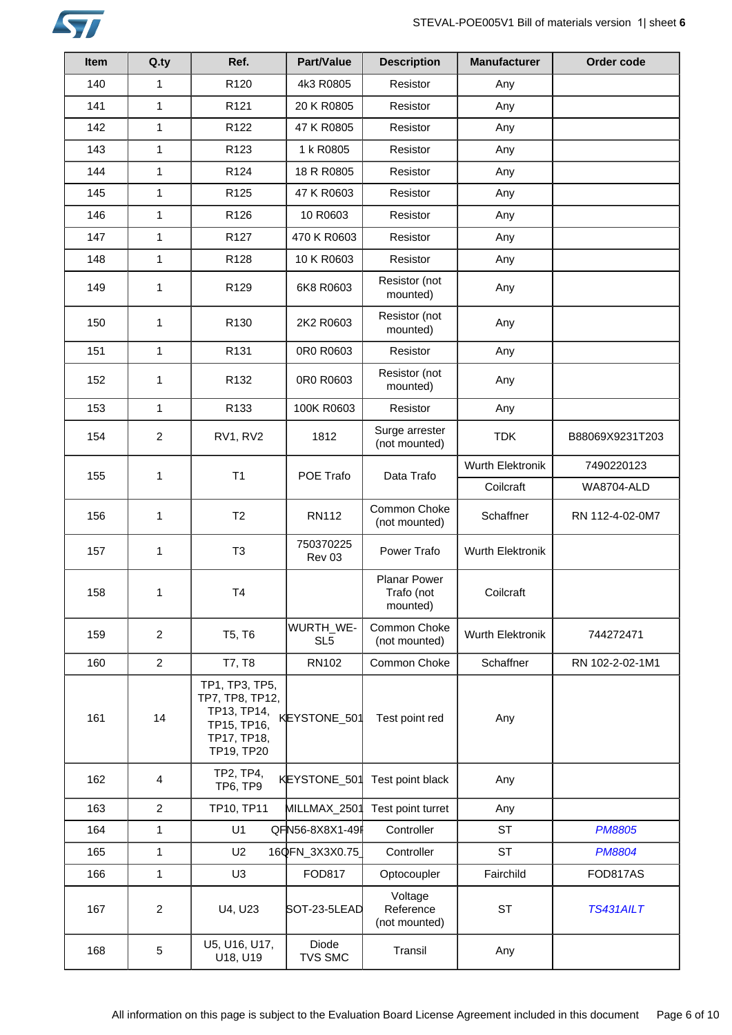

| <b>Item</b> | Q.ty           | Ref.                                                                                         | <b>Part/Value</b>            | <b>Description</b>                            | <b>Manufacturer</b> | Order code        |
|-------------|----------------|----------------------------------------------------------------------------------------------|------------------------------|-----------------------------------------------|---------------------|-------------------|
| 140         | $\mathbf{1}$   | R <sub>120</sub>                                                                             | 4k3 R0805                    | Resistor                                      | Any                 |                   |
| 141         | 1              | R121                                                                                         | 20 K R0805                   | Resistor                                      | Any                 |                   |
| 142         | $\mathbf{1}$   | R <sub>122</sub>                                                                             | 47 K R0805                   | Resistor                                      | Any                 |                   |
| 143         | $\mathbf{1}$   | R123                                                                                         | 1 k R0805                    | Resistor                                      | Any                 |                   |
| 144         | $\mathbf{1}$   | R124                                                                                         | 18 R R0805                   | Resistor                                      | Any                 |                   |
| 145         | $\mathbf{1}$   | R125                                                                                         | 47 K R0603                   | Resistor                                      | Any                 |                   |
| 146         | 1              | R126                                                                                         | 10 R0603                     | Resistor                                      | Any                 |                   |
| 147         | $\mathbf{1}$   | R127                                                                                         | 470 K R0603                  | Resistor                                      | Any                 |                   |
| 148         | $\mathbf{1}$   | R128                                                                                         | 10 K R0603                   | Resistor                                      | Any                 |                   |
| 149         | 1              | R <sub>129</sub>                                                                             | 6K8 R0603                    | Resistor (not<br>mounted)                     | Any                 |                   |
| 150         | 1              | R <sub>130</sub>                                                                             | 2K2 R0603                    | Resistor (not<br>mounted)                     | Any                 |                   |
| 151         | $\mathbf{1}$   | R <sub>131</sub>                                                                             | 0R0 R0603                    | Resistor                                      | Any                 |                   |
| 152         | $\mathbf{1}$   | R <sub>132</sub>                                                                             | 0R0 R0603                    | Resistor (not<br>mounted)                     | Any                 |                   |
| 153         | $\mathbf{1}$   | R133                                                                                         | 100K R0603                   | Resistor                                      | Any                 |                   |
| 154         | $\overline{c}$ | RV1, RV2                                                                                     | 1812                         | Surge arrester<br>(not mounted)               | <b>TDK</b>          | B88069X9231T203   |
| 155         | 1              | T1                                                                                           | POE Trafo                    | Data Trafo                                    | Wurth Elektronik    | 7490220123        |
|             |                |                                                                                              |                              |                                               | Coilcraft           | <b>WA8704-ALD</b> |
| 156         | 1              | T2                                                                                           | <b>RN112</b>                 | Common Choke<br>(not mounted)                 | Schaffner           | RN 112-4-02-0M7   |
| 157         | 1              | T <sub>3</sub>                                                                               | 750370225<br>Rev 03          | Power Trafo                                   | Wurth Elektronik    |                   |
| 158         | 1              | <b>T4</b>                                                                                    |                              | <b>Planar Power</b><br>Trafo (not<br>mounted) | Coilcraft           |                   |
| 159         | $\overline{2}$ | T5, T6                                                                                       | WURTH_WE-<br>SL <sub>5</sub> | Common Choke<br>(not mounted)                 | Wurth Elektronik    | 744272471         |
| 160         | $\overline{2}$ | T7, T8                                                                                       | RN102                        | Common Choke                                  | Schaffner           | RN 102-2-02-1M1   |
| 161         | 14             | TP1, TP3, TP5,<br>TP7, TP8, TP12,<br>TP13, TP14,<br>TP15, TP16,<br>TP17, TP18,<br>TP19, TP20 | KEYSTONE_501                 | Test point red                                | Any                 |                   |
| 162         | 4              | TP2, TP4,<br>TP6, TP9                                                                        | KEYSTONE_501                 | Test point black                              | Any                 |                   |
| 163         | $\overline{2}$ | TP10, TP11                                                                                   | MILLMAX_2501                 | Test point turret                             | Any                 |                   |
| 164         | $\mathbf{1}$   | U1                                                                                           | QFN56-8X8X1-49               | Controller                                    | <b>ST</b>           | <b>PM8805</b>     |
| 165         | $\mathbf{1}$   | U <sub>2</sub>                                                                               | 16QFN_3X3X0.75               | Controller                                    | <b>ST</b>           | <b>PM8804</b>     |
| 166         | $\mathbf{1}$   | U <sub>3</sub>                                                                               | <b>FOD817</b>                | Optocoupler                                   | Fairchild           | FOD817AS          |
| 167         | $\overline{2}$ | U4, U23                                                                                      | SOT-23-5LEAD                 | Voltage<br>Reference<br>(not mounted)         | <b>ST</b>           | <b>TS431AILT</b>  |
| 168         | 5              | U5, U16, U17,<br>U18, U19                                                                    | Diode<br><b>TVS SMC</b>      | Transil                                       | Any                 |                   |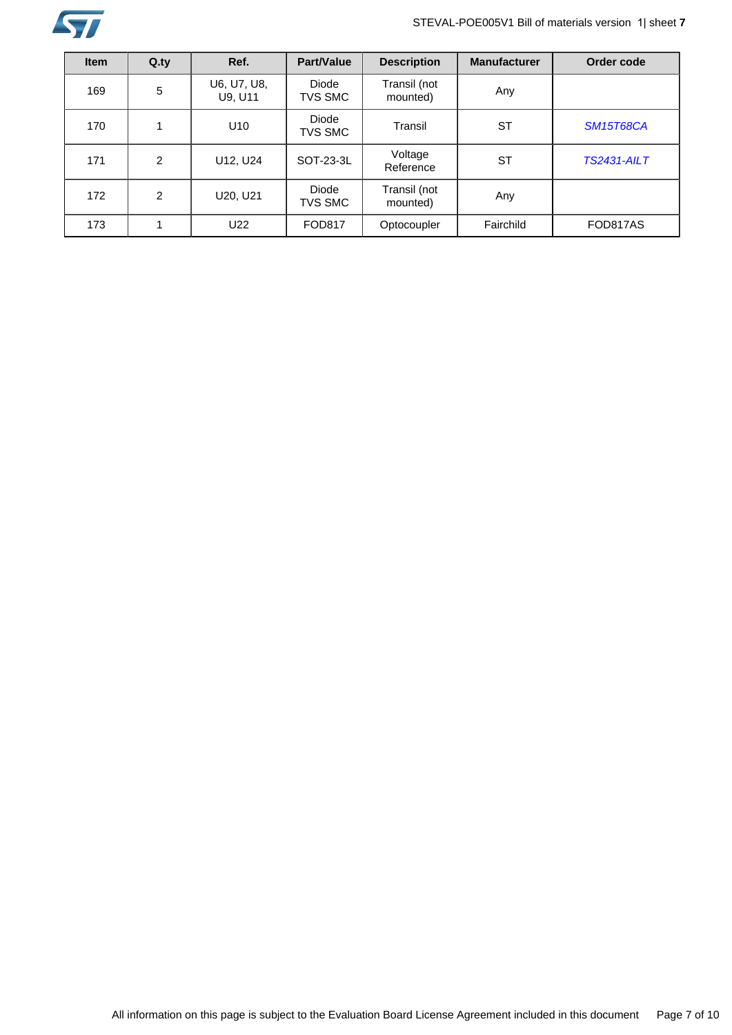

# STEVAL-POE005V1 Bill of materials version 1| sheet **7**

| <b>Item</b> | $Q_{\text{y}}$ | Ref.                   | <b>Part/Value</b>       | <b>Description</b>       | <b>Manufacturer</b> | Order code         |
|-------------|----------------|------------------------|-------------------------|--------------------------|---------------------|--------------------|
| 169         | 5              | U6, U7, U8,<br>U9, U11 | Diode<br><b>TVS SMC</b> | Transil (not<br>mounted) | Any                 |                    |
| 170         |                | U <sub>10</sub>        | Diode<br><b>TVS SMC</b> | Transil                  | <b>ST</b>           | <b>SM15T68CA</b>   |
| 171         | 2              | U12, U24               | SOT-23-3L               | Voltage<br>Reference     | <b>ST</b>           | <b>TS2431-AILT</b> |
| 172         | $\overline{2}$ | U20, U21               | Diode<br><b>TVS SMC</b> | Transil (not<br>mounted) | Any                 |                    |
| 173         |                | U22                    | <b>FOD817</b>           | Optocoupler              | Fairchild           | FOD817AS           |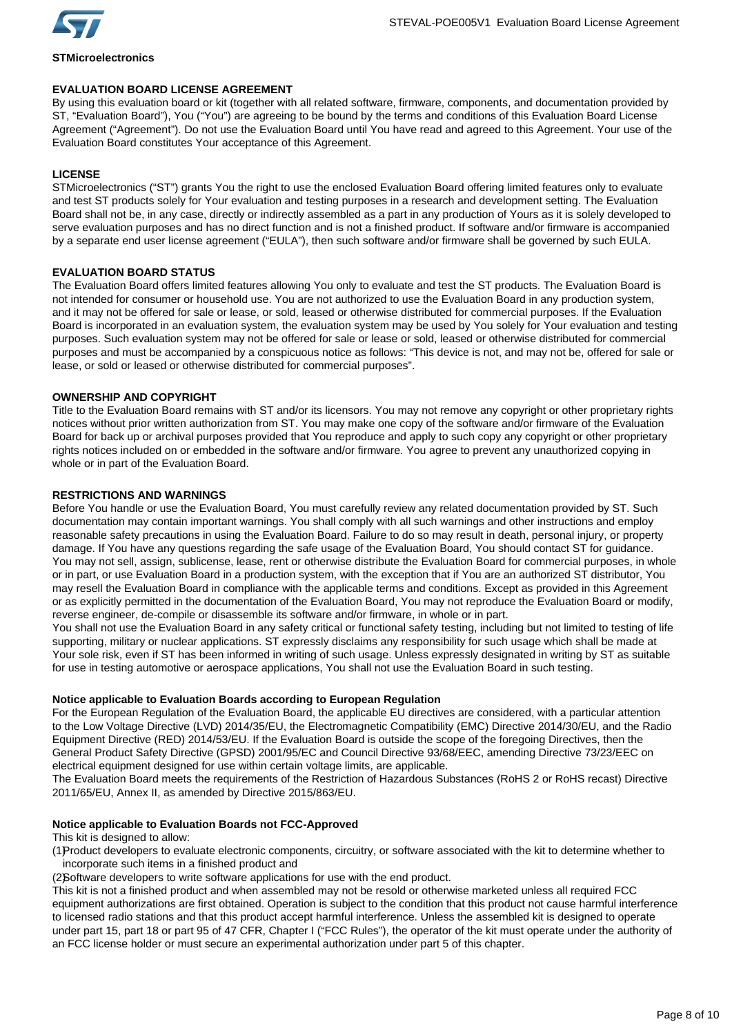

# **STMicroelectronics**

# **EVALUATION BOARD LICENSE AGREEMENT**

By using this evaluation board or kit (together with all related software, firmware, components, and documentation provided by ST, "Evaluation Board"), You ("You") are agreeing to be bound by the terms and conditions of this Evaluation Board License Agreement ("Agreement"). Do not use the Evaluation Board until You have read and agreed to this Agreement. Your use of the Evaluation Board constitutes Your acceptance of this Agreement.

# **LICENSE**

STMicroelectronics ("ST") grants You the right to use the enclosed Evaluation Board offering limited features only to evaluate and test ST products solely for Your evaluation and testing purposes in a research and development setting. The Evaluation Board shall not be, in any case, directly or indirectly assembled as a part in any production of Yours as it is solely developed to serve evaluation purposes and has no direct function and is not a finished product. If software and/or firmware is accompanied by a separate end user license agreement ("EULA"), then such software and/or firmware shall be governed by such EULA.

# **EVALUATION BOARD STATUS**

The Evaluation Board offers limited features allowing You only to evaluate and test the ST products. The Evaluation Board is not intended for consumer or household use. You are not authorized to use the Evaluation Board in any production system, and it may not be offered for sale or lease, or sold, leased or otherwise distributed for commercial purposes. If the Evaluation Board is incorporated in an evaluation system, the evaluation system may be used by You solely for Your evaluation and testing purposes. Such evaluation system may not be offered for sale or lease or sold, leased or otherwise distributed for commercial purposes and must be accompanied by a conspicuous notice as follows: "This device is not, and may not be, offered for sale or lease, or sold or leased or otherwise distributed for commercial purposes".

# **OWNERSHIP AND COPYRIGHT**

Title to the Evaluation Board remains with ST and/or its licensors. You may not remove any copyright or other proprietary rights notices without prior written authorization from ST. You may make one copy of the software and/or firmware of the Evaluation Board for back up or archival purposes provided that You reproduce and apply to such copy any copyright or other proprietary rights notices included on or embedded in the software and/or firmware. You agree to prevent any unauthorized copying in whole or in part of the Evaluation Board.

# **RESTRICTIONS AND WARNINGS**

Before You handle or use the Evaluation Board, You must carefully review any related documentation provided by ST. Such documentation may contain important warnings. You shall comply with all such warnings and other instructions and employ reasonable safety precautions in using the Evaluation Board. Failure to do so may result in death, personal injury, or property damage. If You have any questions regarding the safe usage of the Evaluation Board, You should contact ST for guidance. You may not sell, assign, sublicense, lease, rent or otherwise distribute the Evaluation Board for commercial purposes, in whole or in part, or use Evaluation Board in a production system, with the exception that if You are an authorized ST distributor, You may resell the Evaluation Board in compliance with the applicable terms and conditions. Except as provided in this Agreement or as explicitly permitted in the documentation of the Evaluation Board, You may not reproduce the Evaluation Board or modify, reverse engineer, de-compile or disassemble its software and/or firmware, in whole or in part.

You shall not use the Evaluation Board in any safety critical or functional safety testing, including but not limited to testing of life supporting, military or nuclear applications. ST expressly disclaims any responsibility for such usage which shall be made at Your sole risk, even if ST has been informed in writing of such usage. Unless expressly designated in writing by ST as suitable for use in testing automotive or aerospace applications, You shall not use the Evaluation Board in such testing.

# **Notice applicable to Evaluation Boards according to European Regulation**

For the European Regulation of the Evaluation Board, the applicable EU directives are considered, with a particular attention to the Low Voltage Directive (LVD) 2014/35/EU, the Electromagnetic Compatibility (EMC) Directive 2014/30/EU, and the Radio Equipment Directive (RED) 2014/53/EU. If the Evaluation Board is outside the scope of the foregoing Directives, then the General Product Safety Directive (GPSD) 2001/95/EC and Council Directive 93/68/EEC, amending Directive 73/23/EEC on electrical equipment designed for use within certain voltage limits, are applicable.

The Evaluation Board meets the requirements of the Restriction of Hazardous Substances (RoHS 2 or RoHS recast) Directive 2011/65/EU, Annex II, as amended by Directive 2015/863/EU.

# **Notice applicable to Evaluation Boards not FCC-Approved**

This kit is designed to allow:

(1)Product developers to evaluate electronic components, circuitry, or software associated with the kit to determine whether to incorporate such items in a finished product and

(2)Software developers to write software applications for use with the end product.

This kit is not a finished product and when assembled may not be resold or otherwise marketed unless all required FCC equipment authorizations are first obtained. Operation is subject to the condition that this product not cause harmful interference to licensed radio stations and that this product accept harmful interference. Unless the assembled kit is designed to operate under part 15, part 18 or part 95 of 47 CFR, Chapter I ("FCC Rules"), the operator of the kit must operate under the authority of an FCC license holder or must secure an experimental authorization under part 5 of this chapter.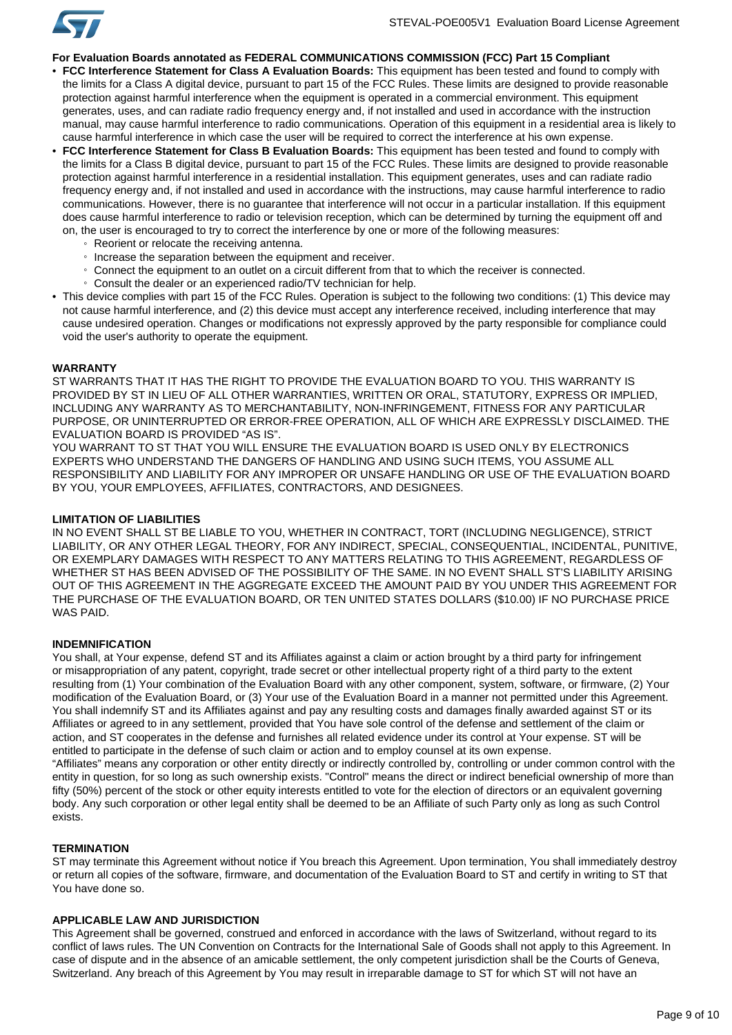

### **For Evaluation Boards annotated as FEDERAL COMMUNICATIONS COMMISSION (FCC) Part 15 Compliant**

- **FCC Interference Statement for Class A Evaluation Boards:** This equipment has been tested and found to comply with the limits for a Class A digital device, pursuant to part 15 of the FCC Rules. These limits are designed to provide reasonable protection against harmful interference when the equipment is operated in a commercial environment. This equipment generates, uses, and can radiate radio frequency energy and, if not installed and used in accordance with the instruction manual, may cause harmful interference to radio communications. Operation of this equipment in a residential area is likely to cause harmful interference in which case the user will be required to correct the interference at his own expense.
- **FCC Interference Statement for Class B Evaluation Boards:** This equipment has been tested and found to comply with the limits for a Class B digital device, pursuant to part 15 of the FCC Rules. These limits are designed to provide reasonable protection against harmful interference in a residential installation. This equipment generates, uses and can radiate radio frequency energy and, if not installed and used in accordance with the instructions, may cause harmful interference to radio communications. However, there is no guarantee that interference will not occur in a particular installation. If this equipment does cause harmful interference to radio or television reception, which can be determined by turning the equipment off and on, the user is encouraged to try to correct the interference by one or more of the following measures:
	- Reorient or relocate the receiving antenna.
	- Increase the separation between the equipment and receiver.
	- Connect the equipment to an outlet on a circuit different from that to which the receiver is connected.
	- Consult the dealer or an experienced radio/TV technician for help.
- This device complies with part 15 of the FCC Rules. Operation is subject to the following two conditions: (1) This device may not cause harmful interference, and (2) this device must accept any interference received, including interference that may cause undesired operation. Changes or modifications not expressly approved by the party responsible for compliance could void the user's authority to operate the equipment.

#### **WARRANTY**

ST WARRANTS THAT IT HAS THE RIGHT TO PROVIDE THE EVALUATION BOARD TO YOU. THIS WARRANTY IS PROVIDED BY ST IN LIEU OF ALL OTHER WARRANTIES, WRITTEN OR ORAL, STATUTORY, EXPRESS OR IMPLIED, INCLUDING ANY WARRANTY AS TO MERCHANTABILITY, NON-INFRINGEMENT, FITNESS FOR ANY PARTICULAR PURPOSE, OR UNINTERRUPTED OR ERROR-FREE OPERATION, ALL OF WHICH ARE EXPRESSLY DISCLAIMED. THE EVALUATION BOARD IS PROVIDED "AS IS".

YOU WARRANT TO ST THAT YOU WILL ENSURE THE EVALUATION BOARD IS USED ONLY BY ELECTRONICS EXPERTS WHO UNDERSTAND THE DANGERS OF HANDLING AND USING SUCH ITEMS, YOU ASSUME ALL RESPONSIBILITY AND LIABILITY FOR ANY IMPROPER OR UNSAFE HANDLING OR USE OF THE EVALUATION BOARD BY YOU, YOUR EMPLOYEES, AFFILIATES, CONTRACTORS, AND DESIGNEES.

#### **LIMITATION OF LIABILITIES**

IN NO EVENT SHALL ST BE LIABLE TO YOU, WHETHER IN CONTRACT, TORT (INCLUDING NEGLIGENCE), STRICT LIABILITY, OR ANY OTHER LEGAL THEORY, FOR ANY INDIRECT, SPECIAL, CONSEQUENTIAL, INCIDENTAL, PUNITIVE, OR EXEMPLARY DAMAGES WITH RESPECT TO ANY MATTERS RELATING TO THIS AGREEMENT, REGARDLESS OF WHETHER ST HAS BEEN ADVISED OF THE POSSIBILITY OF THE SAME. IN NO EVENT SHALL ST'S LIABILITY ARISING OUT OF THIS AGREEMENT IN THE AGGREGATE EXCEED THE AMOUNT PAID BY YOU UNDER THIS AGREEMENT FOR THE PURCHASE OF THE EVALUATION BOARD, OR TEN UNITED STATES DOLLARS (\$10.00) IF NO PURCHASE PRICE WAS PAID.

#### **INDEMNIFICATION**

You shall, at Your expense, defend ST and its Affiliates against a claim or action brought by a third party for infringement or misappropriation of any patent, copyright, trade secret or other intellectual property right of a third party to the extent resulting from (1) Your combination of the Evaluation Board with any other component, system, software, or firmware, (2) Your modification of the Evaluation Board, or (3) Your use of the Evaluation Board in a manner not permitted under this Agreement. You shall indemnify ST and its Affiliates against and pay any resulting costs and damages finally awarded against ST or its Affiliates or agreed to in any settlement, provided that You have sole control of the defense and settlement of the claim or action, and ST cooperates in the defense and furnishes all related evidence under its control at Your expense. ST will be entitled to participate in the defense of such claim or action and to employ counsel at its own expense. "Affiliates" means any corporation or other entity directly or indirectly controlled by, controlling or under common control with the entity in question, for so long as such ownership exists. "Control" means the direct or indirect beneficial ownership of more than fifty (50%) percent of the stock or other equity interests entitled to vote for the election of directors or an equivalent governing body. Any such corporation or other legal entity shall be deemed to be an Affiliate of such Party only as long as such Control

#### **TERMINATION**

exists.

ST may terminate this Agreement without notice if You breach this Agreement. Upon termination, You shall immediately destroy or return all copies of the software, firmware, and documentation of the Evaluation Board to ST and certify in writing to ST that You have done so.

### **APPLICABLE LAW AND JURISDICTION**

This Agreement shall be governed, construed and enforced in accordance with the laws of Switzerland, without regard to its conflict of laws rules. The UN Convention on Contracts for the International Sale of Goods shall not apply to this Agreement. In case of dispute and in the absence of an amicable settlement, the only competent jurisdiction shall be the Courts of Geneva, Switzerland. Any breach of this Agreement by You may result in irreparable damage to ST for which ST will not have an